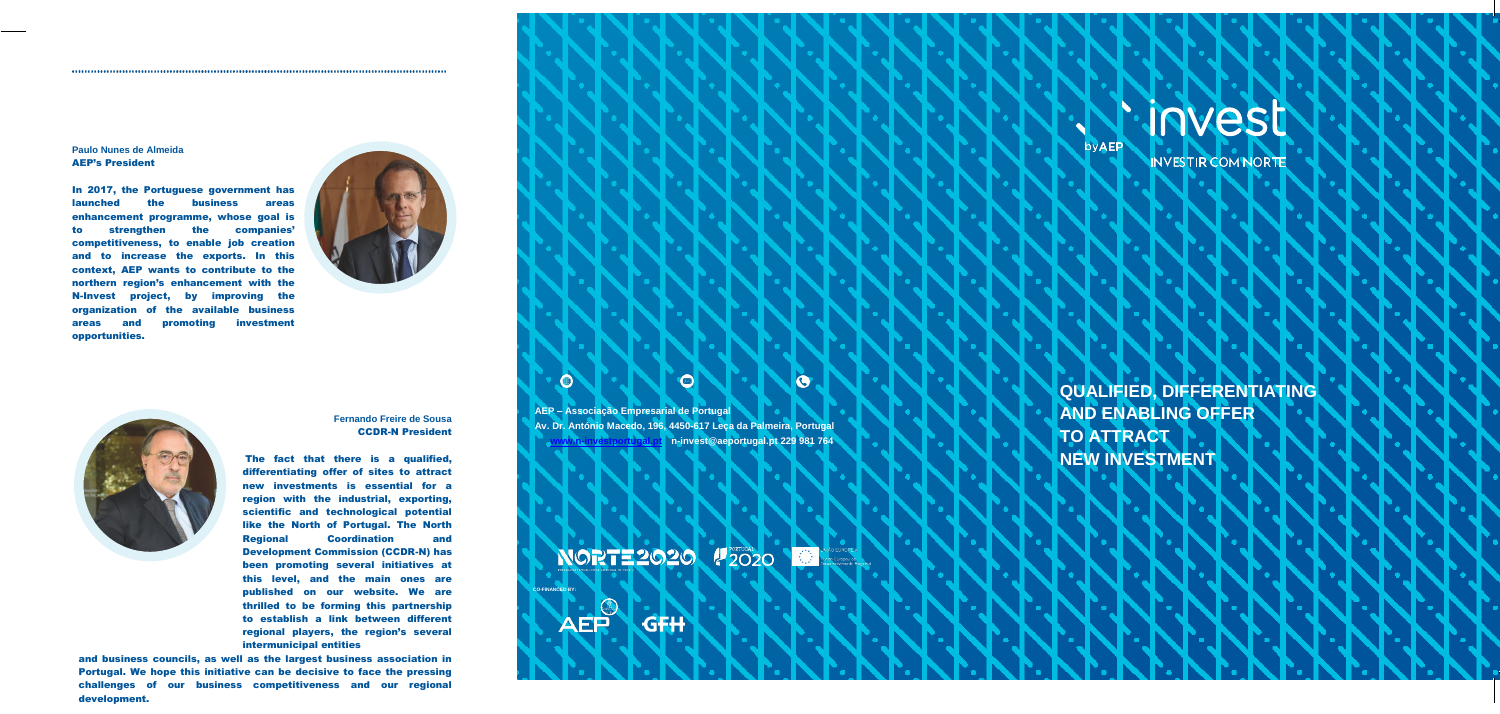### **Paulo Nunes de Almeida** AEP's President

In 2017, the Portuguese government has launched the business areas enhancement programme, whose goal is to strengthen the companies' competitiveness, to enable job creation and to increase the exports. In this context, AEP wants to contribute to the northern region's enhancement with the N-Invest project, by improving the organization of the available business areas and promoting investment opportunities.





**Fernando Freire de Sousa** CCDR-N President

The fact that there is a qualified, differentiating offer of sites to attract new investments is essential for a region with the industrial, exporting, scientific and technological potential like the North of Portugal. The North Regional Coordination and Development Commission (CCDR-N) has been promoting several initiatives at this level, and the main ones are published on our website. We are thrilled to be forming this partnership to establish a link between different regional players, the region's several intermunicipal entities

and business councils, as well as the largest business association in Portugal. We hope this initiative can be decisive to face the pressing challenges of our business competitiveness and our regional development.

**AEP – Associação Empresarial de Portugal Av. Dr. António Macedo, 196, 4450-617 Leça da Palmeira, Portugal [www.n-investportugal.pt](http://www.n-investportugal.pt/) [n-invest@aeportugal.pt](mailto:n-invest@aeportugal.pt) 229 981 764**

NORTE 2020 2020 State Evidence

GFH

O

O

**CO-FINANCED BY:**

 $\bigcirc$ 

## ·N·invest

**byAEP** 

INVESTIR COM NORTE

**QUALIFIED, DIFFERENTIATING AND ENABLING OFFER TO ATTRACT NEW INVESTMENT**